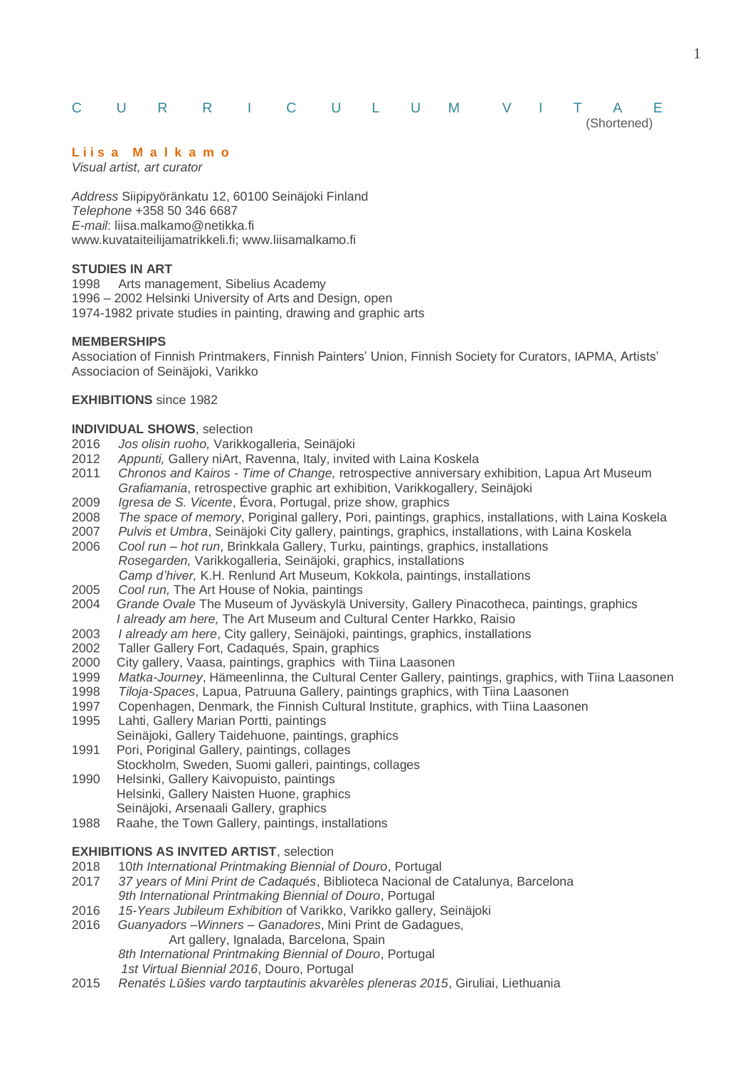# C U R R I C U L U M V I T A E

## **L i i s a M a l k a m o**

*Visual artist, art curator*

*Address* Siipipyöränkatu 12, 60100 Seinäjoki Finland *Telephone* +358 50 346 6687 *E-mail*: liisa.malkamo@netikka.fi [www.kuvataiteilijamatrikkeli.fi;](http://www.kuvataiteilijamatrikkeli.fi/) www.liisamalkamo.fi

## **STUDIES IN ART**

1998 Arts management, Sibelius Academy 1996 – 2002 Helsinki University of Arts and Design, open 1974-1982 private studies in painting, drawing and graphic arts

### **MEMBERSHIPS**

Association of Finnish Printmakers, Finnish Painters' Union, Finnish Society for Curators, IAPMA, Artists' Associacion of Seinäjoki, Varikko

### **EXHIBITIONS** since 1982

### **INDIVIDUAL SHOWS**, selection

- 2016 *Jos olisin ruoho,* Varikkogalleria, Seinäjoki
- 2012 *Appunti,* Gallery niArt, Ravenna, Italy, invited with Laina Koskela
- 2011 *Chronos and Kairos - Time of Change,* retrospective anniversary exhibition, Lapua Art Museum *Grafiamania*, retrospective graphic art exhibition, Varikkogallery, Seinäjoki
- 2009 *Igresa de S. Vicente*, Évora, Portugal, prize show, graphics
- 2008 *The space of memory*, Poriginal gallery, Pori, paintings, graphics, installations, with Laina Koskela
- 2007 *Pulvis et Umbra*, Seinäjoki City gallery, paintings, graphics, installations, with Laina Koskela
- 2006 *Cool run – hot run*, Brinkkala Gallery, Turku, paintings, graphics, installations *Rosegarden,* Varikkogalleria, Seinäjoki, graphics, installations *Camp d'hiver,* K.H. Renlund Art Museum, Kokkola, paintings, installations
- 2005 *Cool run,* The Art House of Nokia, paintings
- 2004 *Grande Ovale* The Museum of Jyväskylä University, Gallery Pinacotheca, paintings, graphics *I already am here,* The Art Museum and Cultural Center Harkko, Raisio
- 2003 *I already am here*, City gallery, Seinäjoki, paintings, graphics, installations
- 2002 Taller Gallery Fort, Cadaqués, Spain, graphics
- 2000 City gallery, Vaasa, paintings, graphics with Tiina Laasonen
- 1999 *Matka-Journey*, Hämeenlinna, the Cultural Center Gallery, paintings, graphics, with Tiina Laasonen
- 1998 *Tiloja-Spaces*, Lapua, Patruuna Gallery, paintings graphics, with Tiina Laasonen
- 1997 Copenhagen, Denmark, the Finnish Cultural Institute, graphics, with Tiina Laasonen
- 1995 Lahti, Gallery Marian Portti, paintings
- Seinäjoki, Gallery Taidehuone, paintings, graphics
- 1991 Pori, Poriginal Gallery, paintings, collages
- Stockholm, Sweden, Suomi galleri, paintings, collages 1990 Helsinki, Gallery Kaivopuisto, paintings
- Helsinki, Gallery Naisten Huone, graphics Seinäjoki, Arsenaali Gallery, graphics
- 1988 Raahe, the Town Gallery, paintings, installations

### **EXHIBITIONS AS INVITED ARTIST**, selection

- 2018 10*th International Printmaking Biennial of Douro*, Portugal
- 2017 *37 years of Mini Print de Cadaqués*, Biblioteca Nacional de Catalunya, Barcelona *9th International Printmaking Biennial of Douro*, Portugal
- 2016 *15-Years Jubileum Exhibition* of Varikko, Varikko gallery, Seinäjoki
- 2016 *Guanyadors –Winners – Ganadores*, Mini Print de Gadagues, Art gallery, Ignalada, Barcelona, Spain

*8th International Printmaking Biennial of Douro*, Portugal

 *1st Virtual Biennial 2016*, Douro, Portugal

2015 *Renatés Lūšies vardo tarptautinis akvarèles pleneras 2015*, Giruliai, Liethuania

(Shortened)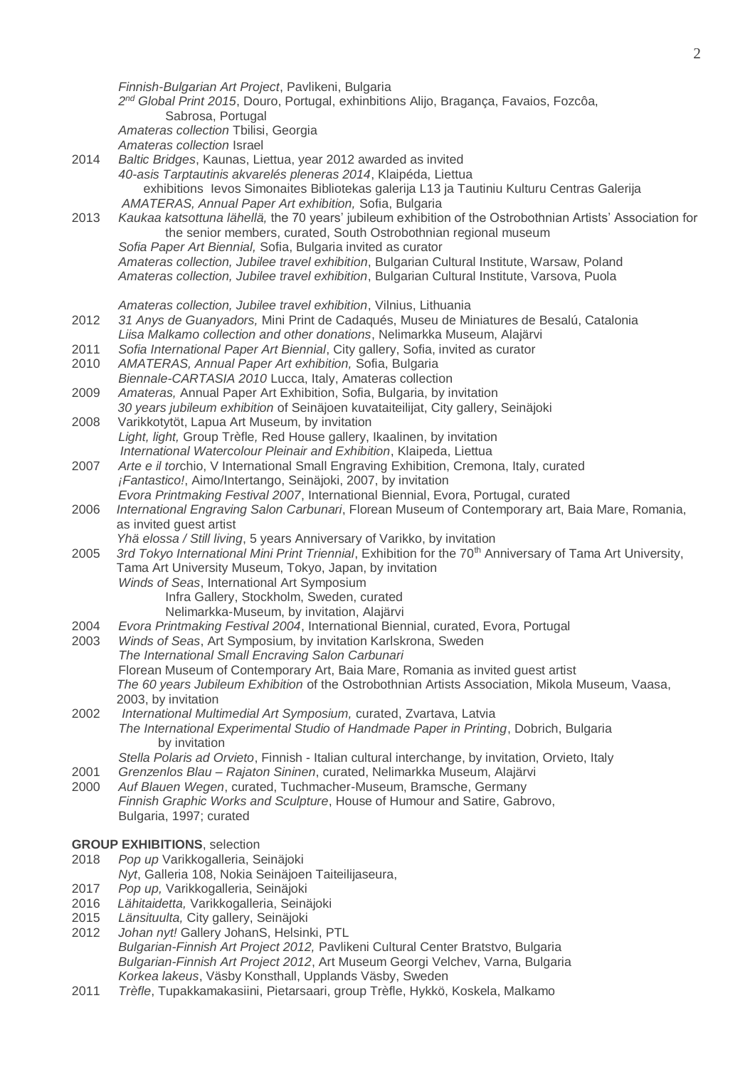|              | Finnish-Bulgarian Art Project, Pavlikeni, Bulgaria<br>2 <sup>nd</sup> Global Print 2015, Douro, Portugal, exhinbitions Alijo, Bragança, Favaios, Fozcôa,<br>Sabrosa, Portugal                                                                                |
|--------------|--------------------------------------------------------------------------------------------------------------------------------------------------------------------------------------------------------------------------------------------------------------|
|              | Amateras collection Tbilisi, Georgia<br>Amateras collection Israel                                                                                                                                                                                           |
| 2014         | Baltic Bridges, Kaunas, Liettua, year 2012 awarded as invited<br>40-asis Tarptautinis akvarelés pleneras 2014, Klaipéda, Liettua                                                                                                                             |
|              | exhibitions levos Simonaites Bibliotekas galerija L13 ja Tautiniu Kulturu Centras Galerija<br>AMATERAS, Annual Paper Art exhibition, Sofia, Bulgaria                                                                                                         |
| 2013         | Kaukaa katsottuna lähellä, the 70 years' jubileum exhibition of the Ostrobothnian Artists' Association for<br>the senior members, curated, South Ostrobothnian regional museum                                                                               |
|              | Sofia Paper Art Biennial, Sofia, Bulgaria invited as curator<br>Amateras collection, Jubilee travel exhibition, Bulgarian Cultural Institute, Warsaw, Poland<br>Amateras collection, Jubilee travel exhibition, Bulgarian Cultural Institute, Varsova, Puola |
|              |                                                                                                                                                                                                                                                              |
| 2012         | Amateras collection, Jubilee travel exhibition, Vilnius, Lithuania<br>31 Anys de Guanyadors, Mini Print de Cadaqués, Museu de Miniatures de Besalú, Catalonia<br>Liisa Malkamo collection and other donations, Nelimarkka Museum, Alajärvi                   |
| 2011<br>2010 | Sofia International Paper Art Biennial, City gallery, Sofia, invited as curator<br>AMATERAS, Annual Paper Art exhibition, Sofia, Bulgaria<br>Biennale-CARTASIA 2010 Lucca, Italy, Amateras collection                                                        |
| 2009         | Amateras, Annual Paper Art Exhibition, Sofia, Bulgaria, by invitation                                                                                                                                                                                        |
| 2008         | 30 years jubileum exhibition of Seinäjoen kuvataiteilijat, City gallery, Seinäjoki<br>Varikkotytöt, Lapua Art Museum, by invitation                                                                                                                          |
|              | Light, light, Group Trèfle, Red House gallery, Ikaalinen, by invitation<br>International Watercolour Pleinair and Exhibition, Klaipeda, Liettua                                                                                                              |
| 2007         | Arte e il torchio, V International Small Engraving Exhibition, Cremona, Italy, curated<br>¡Fantastico!, Aimo/Intertango, Seinäjoki, 2007, by invitation                                                                                                      |
| 2006         | Evora Printmaking Festival 2007, International Biennial, Evora, Portugal, curated<br>International Engraving Salon Carbunari, Florean Museum of Contemporary art, Baia Mare, Romania,<br>as invited guest artist                                             |
| 2005         | Yhä elossa / Still living, 5 years Anniversary of Varikko, by invitation<br>3rd Tokyo International Mini Print Triennial, Exhibition for the 70 <sup>th</sup> Anniversary of Tama Art University,                                                            |
|              | Tama Art University Museum, Tokyo, Japan, by invitation<br>Winds of Seas, International Art Symposium                                                                                                                                                        |
|              | Infra Gallery, Stockholm, Sweden, curated<br>Nelimarkka-Museum, by invitation, Alajärvi                                                                                                                                                                      |
| 2004<br>2003 | Evora Printmaking Festival 2004, International Biennial, curated, Evora, Portugal<br>Winds of Seas, Art Symposium, by invitation Karlskrona, Sweden                                                                                                          |
|              | The International Small Encraving Salon Carbunari                                                                                                                                                                                                            |
|              | Florean Museum of Contemporary Art, Baia Mare, Romania as invited guest artist<br>The 60 years Jubileum Exhibition of the Ostrobothnian Artists Association, Mikola Museum, Vaasa,<br>2003, by invitation                                                    |
| 2002         | International Multimedial Art Symposium, curated, Zvartava, Latvia<br>The International Experimental Studio of Handmade Paper in Printing, Dobrich, Bulgaria                                                                                                 |
| 2001         | by invitation<br>Stella Polaris ad Orvieto, Finnish - Italian cultural interchange, by invitation, Orvieto, Italy<br>Grenzenlos Blau - Rajaton Sininen, curated, Nelimarkka Museum, Alajärvi                                                                 |
| 2000         | Auf Blauen Wegen, curated, Tuchmacher-Museum, Bramsche, Germany<br>Finnish Graphic Works and Sculpture, House of Humour and Satire, Gabrovo,                                                                                                                 |
|              | Bulgaria, 1997; curated                                                                                                                                                                                                                                      |
| 2018         | <b>GROUP EXHIBITIONS, selection</b><br>Pop up Varikkogalleria, Seinäjoki                                                                                                                                                                                     |
| 2017         | Nyt, Galleria 108, Nokia Seinäjoen Taiteilijaseura,<br>Pop up, Varikkogalleria, Seinäjoki                                                                                                                                                                    |
| 2016<br>2015 | Lähitaidetta, Varikkogalleria, Seinäjoki<br>Länsituulta, City gallery, Seinäjoki                                                                                                                                                                             |
| 2012         | Johan nyt! Gallery JohanS, Helsinki, PTL<br>Bulgarian-Finnish Art Project 2012, Pavlikeni Cultural Center Bratstvo, Bulgaria                                                                                                                                 |

- *Bulgarian-Finnish Art Project 2012*, Art Museum Georgi Velchev, Varna, Bulgaria *Korkea lakeus*, Väsby Konsthall, Upplands Väsby, Sweden
- 2011 *Trèfle*, Tupakkamakasiini, Pietarsaari, group Trèfle, Hykkö, Koskela, Malkamo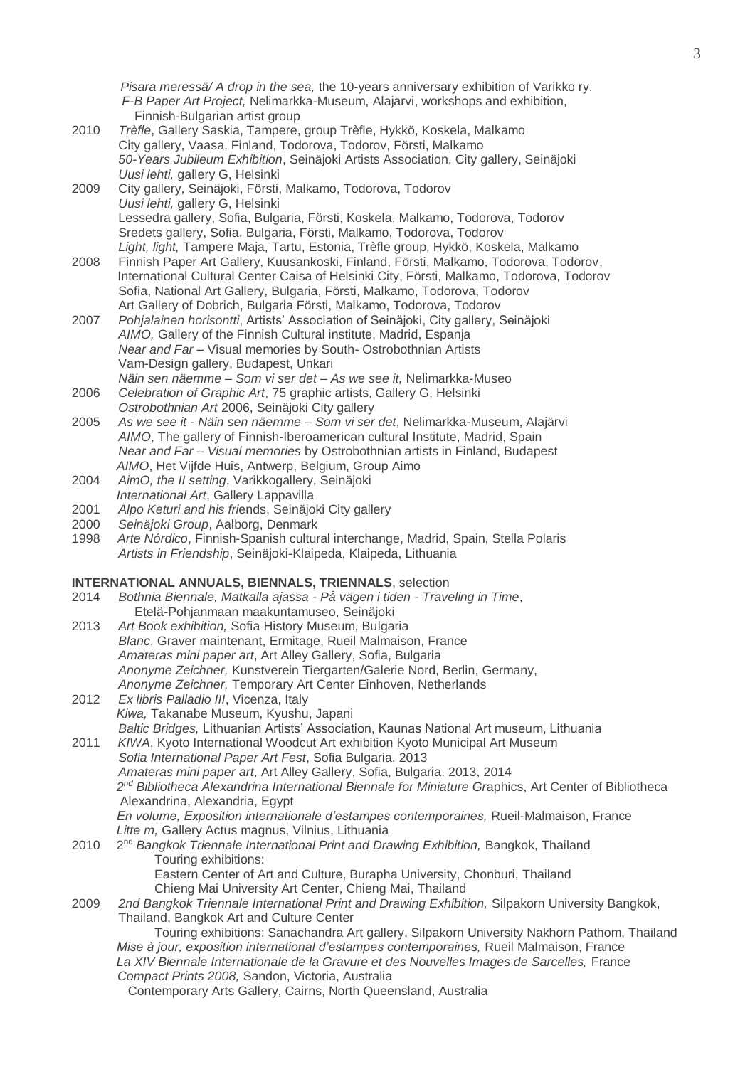*Pisara meressä/ A drop in the sea,* the 10-years anniversary exhibition of Varikko ry. *F-B Paper Art Project,* Nelimarkka-Museum, Alajärvi, workshops and exhibition, **Finnish-Bulgarian artist group** 

- 2010 *Trèfle*, Gallery Saskia, Tampere, group Trèfle, Hykkö, Koskela, Malkamo City gallery, Vaasa, Finland, Todorova, Todorov, Försti, Malkamo *50-Years Jubileum Exhibition*, Seinäjoki Artists Association, City gallery, Seinäjoki *Uusi lehti,* gallery G, Helsinki
- 2009 City gallery, Seinäjoki, Försti, Malkamo, Todorova, Todorov *Uusi lehti,* gallery G, Helsinki Lessedra gallery, Sofia, Bulgaria, Försti, Koskela, Malkamo, Todorova, Todorov Sredets gallery, Sofia, Bulgaria, Försti, Malkamo, Todorova, Todorov *Light, light,* Tampere Maja, Tartu, Estonia, Trèfle group, Hykkö, Koskela, Malkamo
- 2008 Finnish Paper Art Gallery, Kuusankoski, Finland, Försti, Malkamo, Todorova, Todorov, International Cultural Center Caisa of Helsinki City, Försti, Malkamo, Todorova, Todorov Sofia, National Art Gallery, Bulgaria, Försti, Malkamo, Todorova, Todorov Art Gallery of Dobrich, Bulgaria Försti, Malkamo, Todorova, Todorov
- 2007 *Pohjalainen horisontti*, Artists' Association of Seinäjoki, City gallery, Seinäjoki *AIMO,* Gallery of the Finnish Cultural institute, Madrid, Espanja *Near and Far* – Visual memories by South- Ostrobothnian Artists Vam-Design gallery, Budapest, Unkari *Näin sen näemme – Som vi ser det – As we see it,* Nelimarkka-Museo
- 2006 *Celebration of Graphic Art*, 75 graphic artists, Gallery G, Helsinki *Ostrobothnian Art* 2006, Seinäjoki City gallery
- 2005 *As we see it - Näin sen näemme – Som vi ser det*, Nelimarkka-Museum, Alajärvi *AIMO*, The gallery of Finnish-Iberoamerican cultural Institute, Madrid, Spain *Near and Far – Visual memories* by Ostrobothnian artists in Finland, Budapest *AIMO*, Het Vijfde Huis, Antwerp, Belgium, Group Aimo
- 2004 *AimO, the II setting*, Varikkogallery, Seinäjoki *International Art*, Gallery Lappavilla
- 2001 *Alpo Keturi and his fri*ends, Seinäjoki City gallery
- 2000 *Seinäjoki Group*, Aalborg, Denmark
- 1998 *Arte Nórdico*, Finnish-Spanish cultural interchange, Madrid, Spain, Stella Polaris *Artists in Friendship*, Seinäjoki-Klaipeda, Klaipeda, Lithuania

### **INTERNATIONAL ANNUALS, BIENNALS, TRIENNALS**, selection

2014 *Bothnia Biennale, Matkalla ajassa - På vägen i tiden - Traveling in Time*, Etelä-Pohjanmaan maakuntamuseo, Seinäjoki 2013 *Art Book exhibition,* Sofia History Museum, Bulgaria *Blanc*, Graver maintenant, Ermitage, Rueil Malmaison, France *Amateras mini paper art*, Art Alley Gallery, Sofia, Bulgaria *Anonyme Zeichner,* Kunstverein Tiergarten/Galerie Nord, Berlin, Germany, *Anonyme Zeichner,* Temporary Art Center Einhoven, Netherlands 2012 *Ex libris Palladio III*, Vicenza, Italy *Kiwa,* Takanabe Museum, Kyushu, Japani *Baltic Bridges,* Lithuanian Artists' Association, Kaunas National Art museum, Lithuania 2011 *KIWA*, Kyoto International Woodcut Art exhibition Kyoto Municipal Art Museum *Sofia International Paper Art Fest*, Sofia Bulgaria, 2013 *Amateras mini paper art*, Art Alley Gallery, Sofia, Bulgaria, 2013, 2014 2<sup>nd</sup> Bibliotheca Alexandrina International Biennale for Miniature Graphics, Art Center of Bibliotheca Alexandrina, Alexandria, Egypt *En volume, Exposition internationale d'estampes contemporaines,* Rueil-Malmaison, France *Litte m,* Gallery Actus magnus, Vilnius, Lithuania 2010 2<sup>nd</sup> Bangkok Triennale International Print and Drawing Exhibition, Bangkok, Thailand Touring exhibitions: Eastern Center of Art and Culture, Burapha University, Chonburi, Thailand Chieng Mai University Art Center, Chieng Mai, Thailand 2009 *2nd Bangkok Triennale International Print and Drawing Exhibition,* Silpakorn University Bangkok, Thailand, Bangkok Art and Culture Center Touring exhibitions: Sanachandra Art gallery, Silpakorn University Nakhorn Pathom, Thailand *Mise à jour, exposition international d'estampes contemporaines,* Rueil Malmaison, France

La XIV Biennale Internationale de la Gravure et des Nouvelles Images de Sarcelles, France *Compact Prints 2008,* Sandon, Victoria, Australia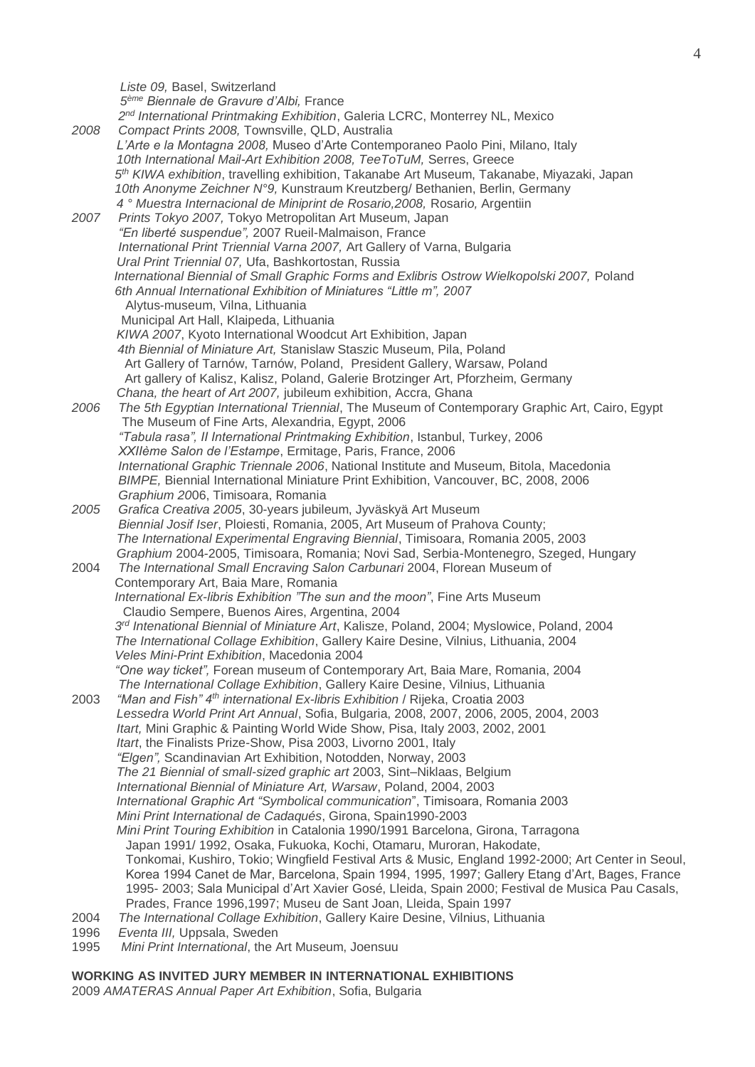4

*Liste 09,* Basel, Switzerland *5 ème Biennale de Gravure d'Albi,* France 2<sup>nd</sup> International Printmaking Exhibition, Galeria LCRC, Monterrey NL, Mexico *2008 Compact Prints 2008,* Townsville, QLD, Australia  *L'Arte e la Montagna 2008,* Museo d'Arte Contemporaneo Paolo Pini, Milano, Italy *10th International Mail-Art Exhibition 2008, TeeToTuM,* Serres, Greece *5 th KIWA exhibition*, travelling exhibition, Takanabe Art Museum, Takanabe, Miyazaki, Japan *10th Anonyme Zeichner N°9,* Kunstraum Kreutzberg/ Bethanien, Berlin, Germany  *4 ° Muestra Internacional de Miniprint de Rosario,2008,* Rosari*o,* Argentiin *2007 Prints Tokyo 2007,* Tokyo Metropolitan Art Museum, Japan *"En liberté suspendue",* 2007 Rueil-Malmaison, France *International Print Triennial Varna 2007,* Art Gallery of Varna, Bulgaria *Ural Print Triennial 07,* Ufa, Bashkortostan, Russia *International Biennial of Small Graphic Forms and Exlibris Ostrow Wielkopolski 2007,* Poland *6th Annual International Exhibition of Miniatures "Little m", 2007*  Alytus-museum, Vilna, Lithuania Municipal Art Hall, Klaipeda, Lithuania *KIWA 2007*, Kyoto International Woodcut Art Exhibition, Japan *4th Biennial of Miniature Art,* Stanislaw Staszic Museum, Pila, Poland Art Gallery of Tarnów, Tarnów, Poland, President Gallery, Warsaw, Poland Art gallery of Kalisz, Kalisz, Poland, Galerie Brotzinger Art, Pforzheim, Germany *Chana, the heart of Art 2007,* jubileum exhibition, Accra, Ghana *2006 The 5th Egyptian International Triennial*, The Museum of Contemporary Graphic Art, Cairo, Egypt The Museum of Fine Arts, Alexandria, Egypt, 2006 *"Tabula rasa", II International Printmaking Exhibition*, Istanbul, Turkey, 2006 *XXIIème Salon de l'Estampe*, Ermitage, Paris, France, 2006 *International Graphic Triennale 2006*, National Institute and Museum, Bitola, Macedonia *BIMPE,* Biennial International Miniature Print Exhibition, Vancouver, BC, 2008, 2006 *Graphium 20*06, Timisoara, Romania *2005 Grafica Creativa 2005*, 30-years jubileum, Jyväskyä Art Museum *Biennial Josif Iser*, Ploiesti, Romania, 2005, Art Museum of Prahova County; *The International Experimental Engraving Biennial*, Timisoara, Romania 2005, 2003 *Graphium* 2004-2005, Timisoara, Romania; Novi Sad, Serbia-Montenegro, Szeged, Hungary 2004 *The International Small Encraving Salon Carbunari* 2004, Florean Museum of Contemporary Art, Baia Mare, Romania *International Ex-libris Exhibition "The sun and the moon"*, Fine Arts Museum Claudio Sempere, Buenos Aires, Argentina, 2004 *3 rd Intenational Biennial of Miniature Art*, Kalisze, Poland, 2004; Myslowice, Poland, 2004 *The International Collage Exhibition*, Gallery Kaire Desine, Vilnius, Lithuania, 2004 *Veles Mini-Print Exhibition*, Macedonia 2004 *"One way ticket",* Forean museum of Contemporary Art, Baia Mare, Romania, 2004 *The International Collage Exhibition*, Gallery Kaire Desine, Vilnius, Lithuania 2003 *"Man and Fish" 4th international Ex-libris Exhibition* / Rijeka, Croatia 2003 *Lessedra World Print Art Annual*, Sofia, Bulgaria, 2008, 2007, 2006, 2005, 2004, 2003 *Itart,* Mini Graphic & Painting World Wide Show, Pisa, Italy 2003, 2002, 2001 *Itart*, the Finalists Prize-Show, Pisa 2003, Livorno 2001, Italy *"Elgen",* Scandinavian Art Exhibition, Notodden, Norway, 2003 *The 21 Biennial of small-sized graphic art* 2003, Sint–Niklaas, Belgium *International Biennial of Miniature Art, Warsaw*, Poland, 2004, 2003 *International Graphic Art "Symbolical communication*", Timisoara, Romania 2003 *Mini Print International de Cadaqués*, Girona, Spain1990-2003 *Mini Print Touring Exhibition* in Catalonia 1990/1991 Barcelona, Girona, Tarragona Japan 1991/ 1992, Osaka, Fukuoka, Kochi, Otamaru, Muroran, Hakodate, Tonkomai, Kushiro, Tokio; Wingfield Festival Arts & Music*,* England 1992-2000; Art Center in Seoul, Korea 1994 Canet de Mar, Barcelona, Spain 1994, 1995, 1997; Gallery Etang d'Art, Bages, France 1995- 2003; Sala Municipal d'Art Xavier Gosé, Lleida, Spain 2000; Festival de Musica Pau Casals, Prades, France 1996,1997; Museu de Sant Joan, Lleida, Spain 1997 2004 *The International Collage Exhibition*, Gallery Kaire Desine, Vilnius, Lithuania 1996 *Eventa III,* Uppsala, Sweden

1995 *Mini Print International*, the Art Museum, Joensuu

## **WORKING AS INVITED JURY MEMBER IN INTERNATIONAL EXHIBITIONS**

2009 *AMATERAS Annual Paper Art Exhibition*, Sofia, Bulgaria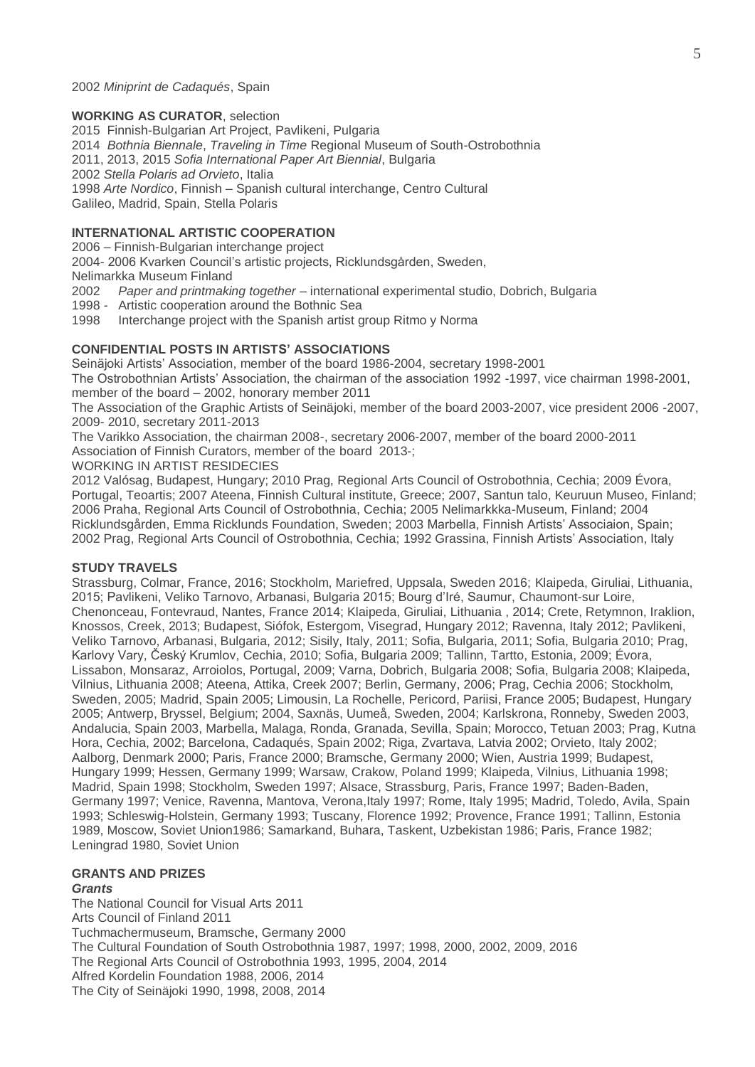#### 2002 *Miniprint de Cadaqués*, Spain

### **WORKING AS CURATOR**, selection

2015 Finnish-Bulgarian Art Project, Pavlikeni, Pulgaria 2014 *Bothnia Biennale*, *Traveling in Time* Regional Museum of South-Ostrobothnia 2011, 2013, 2015 *Sofia International Paper Art Biennial*, Bulgaria 2002 *Stella Polaris ad Orvieto*, Italia 1998 *Arte Nordico*, Finnish – Spanish cultural interchange, Centro Cultural Galileo, Madrid, Spain, Stella Polaris

## **INTERNATIONAL ARTISTIC COOPERATION**

2006 – Finnish-Bulgarian interchange project

2004- 2006 Kvarken Council's artistic projects, Ricklundsgården, Sweden,

Nelimarkka Museum Finland

- 2002 *Paper and printmaking together*  international experimental studio, Dobrich, Bulgaria
- 1998 Artistic cooperation around the Bothnic Sea
- 1998 Interchange project with the Spanish artist group Ritmo y Norma

### **CONFIDENTIAL POSTS IN ARTISTS' ASSOCIATIONS**

Seinäjoki Artists' Association, member of the board 1986-2004, secretary 1998-2001 The Ostrobothnian Artists' Association, the chairman of the association 1992 -1997, vice chairman 1998-2001, member of the board – 2002, honorary member 2011

The Association of the Graphic Artists of Seinäjoki, member of the board 2003-2007, vice president 2006 -2007, 2009- 2010, secretary 2011-2013

The Varikko Association, the chairman 2008-, secretary 2006-2007, member of the board 2000-2011 Association of Finnish Curators, member of the board 2013-;

WORKING IN ARTIST RESIDECIES

2012 Valósag, Budapest, Hungary; 2010 Prag, Regional Arts Council of Ostrobothnia, Cechia; 2009 Évora, Portugal, Teoartis; 2007 Ateena, Finnish Cultural institute, Greece; 2007, Santun talo, Keuruun Museo, Finland; 2006 Praha, Regional Arts Council of Ostrobothnia, Cechia; 2005 Nelimarkkka-Museum, Finland; 2004 Ricklundsgården, Emma Ricklunds Foundation, Sweden; 2003 Marbella, Finnish Artists' Associaion, Spain; 2002 Prag, Regional Arts Council of Ostrobothnia, Cechia; 1992 Grassina, Finnish Artists' Association, Italy

#### **STUDY TRAVELS**

Strassburg, Colmar, France, 2016; Stockholm, Mariefred, Uppsala, Sweden 2016; Klaipeda, Giruliai, Lithuania, 2015; Pavlikeni, Veliko Tarnovo, Arbanasi, Bulgaria 2015; Bourg d'Iré, Saumur, Chaumont-sur Loire, Chenonceau, Fontevraud, Nantes, France 2014; Klaipeda, Giruliai, Lithuania , 2014; Crete, Retymnon, Iraklion, Knossos, Creek, 2013; Budapest, Siófok, Estergom, Visegrad, Hungary 2012; Ravenna, Italy 2012; Pavlikeni, Veliko Tarnovo, Arbanasi, Bulgaria, 2012; Sisily, Italy, 2011; Sofia, Bulgaria, 2011; Sofia, Bulgaria 2010; Prag, Karlovy Vary, Český Krumlov, Cechia, 2010; Sofia, Bulgaria 2009; Tallinn, Tartto, Estonia, 2009; Évora, Lissabon, Monsaraz, Arroiolos, Portugal, 2009; Varna, Dobrich, Bulgaria 2008; Sofia, Bulgaria 2008; Klaipeda, Vilnius, Lithuania 2008; Ateena, Attika, Creek 2007; Berlin, Germany, 2006; Prag, Cechia 2006; Stockholm, Sweden, 2005; Madrid, Spain 2005; Limousin, La Rochelle, Pericord, Pariisi, France 2005; Budapest, Hungary 2005; Antwerp, Bryssel, Belgium; 2004, Saxnäs, Uumeå, Sweden, 2004; Karlskrona, Ronneby, Sweden 2003, Andalucia, Spain 2003, Marbella, Malaga, Ronda, Granada, Sevilla, Spain; Morocco, Tetuan 2003; Prag, Kutna Hora, Cechia, 2002; Barcelona, Cadaqués, Spain 2002; Riga, Zvartava, Latvia 2002; Orvieto, Italy 2002; Aalborg, Denmark 2000; Paris, France 2000; Bramsche, Germany 2000; Wien, Austria 1999; Budapest, Hungary 1999; Hessen, Germany 1999; Warsaw, Crakow, Poland 1999; Klaipeda, Vilnius, Lithuania 1998; Madrid, Spain 1998; Stockholm, Sweden 1997; Alsace, Strassburg, Paris, France 1997; Baden-Baden, Germany 1997; Venice, Ravenna, Mantova, Verona,Italy 1997; Rome, Italy 1995; Madrid, Toledo, Avila, Spain 1993; Schleswig-Holstein, Germany 1993; Tuscany, Florence 1992; Provence, France 1991; Tallinn, Estonia 1989, Moscow, Soviet Union1986; Samarkand, Buhara, Taskent, Uzbekistan 1986; Paris, France 1982; Leningrad 1980, Soviet Union

## **GRANTS AND PRIZES**

#### *Grants*

The National Council for Visual Arts 2011 Arts Council of Finland 2011 Tuchmachermuseum, Bramsche, Germany 2000 The Cultural Foundation of South Ostrobothnia 1987, 1997; 1998, 2000, 2002, 2009, 2016 The Regional Arts Council of Ostrobothnia 1993, 1995, 2004, 2014 Alfred Kordelin Foundation 1988, 2006, 2014 The City of Seinäjoki 1990, 1998, 2008, 2014